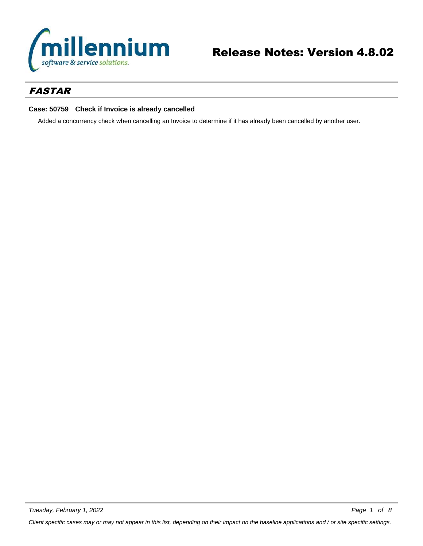

## *FASTAR*

### **Case: 50759 Check if Invoice is already cancelled**

Added a concurrency check when cancelling an Invoice to determine if it has already been cancelled by another user.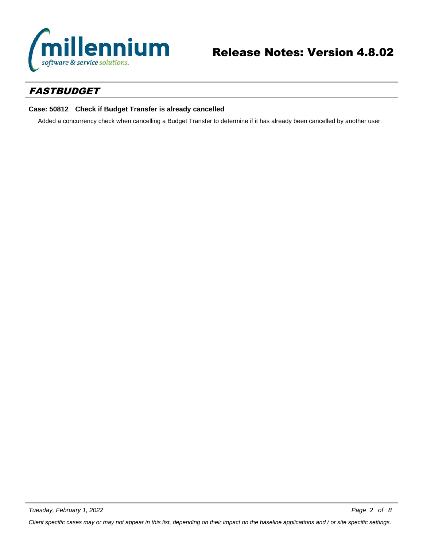

# *FASTBUDGET*

### **Case: 50812 Check if Budget Transfer is already cancelled**

Added a concurrency check when cancelling a Budget Transfer to determine if it has already been cancelled by another user.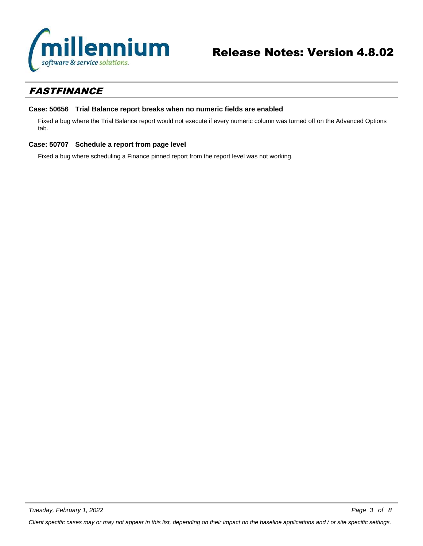

# *FASTFINANCE*

### **Case: 50656 Trial Balance report breaks when no numeric fields are enabled**

Fixed a bug where the Trial Balance report would not execute if every numeric column was turned off on the Advanced Options tab.

### **Case: 50707 Schedule a report from page level**

Fixed a bug where scheduling a Finance pinned report from the report level was not working.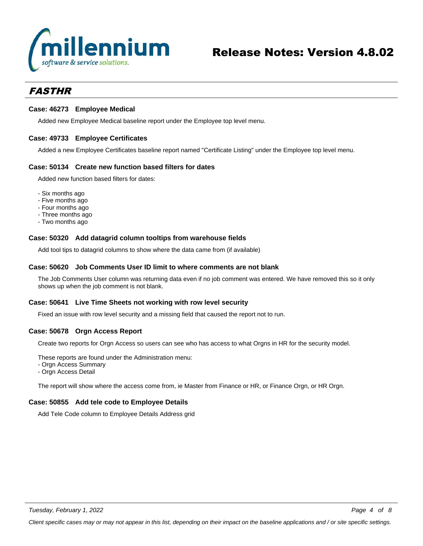

## *FASTHR*

#### **Case: 46273 Employee Medical**

Added new Employee Medical baseline report under the Employee top level menu.

#### **Case: 49733 Employee Certificates**

Added a new Employee Certificates baseline report named "Certificate Listing" under the Employee top level menu.

#### **Case: 50134 Create new function based filters for dates**

Added new function based filters for dates:

- Six months ago
- Five months ago
- Four months ago
- Three months ago
- Two months ago

#### **Case: 50320 Add datagrid column tooltips from warehouse fields**

Add tool tips to datagrid columns to show where the data came from (if available)

#### **Case: 50620 Job Comments User ID limit to where comments are not blank**

The Job Comments User column was returning data even if no job comment was entered. We have removed this so it only shows up when the job comment is not blank.

#### **Case: 50641 Live Time Sheets not working with row level security**

Fixed an issue with row level security and a missing field that caused the report not to run.

#### **Case: 50678 Orgn Access Report**

Create two reports for Orgn Access so users can see who has access to what Orgns in HR for the security model.

These reports are found under the Administration menu:

- Orgn Access Summary
- Orgn Access Detail

The report will show where the access come from, ie Master from Finance or HR, or Finance Orgn, or HR Orgn.

### **Case: 50855 Add tele code to Employee Details**

Add Tele Code column to Employee Details Address grid

*Client specific cases may or may not appear in this list, depending on their impact on the baseline applications and / or site specific settings.*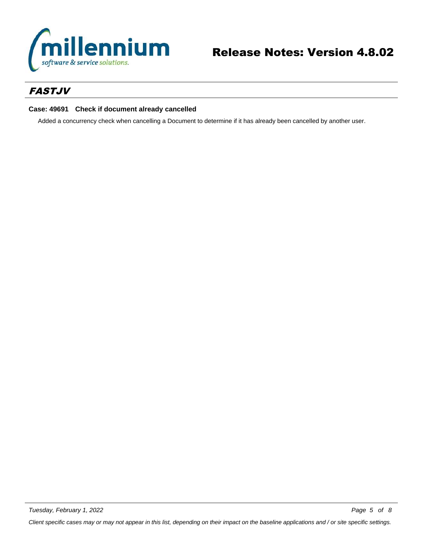

# *FASTJV*

### **Case: 49691 Check if document already cancelled**

Added a concurrency check when cancelling a Document to determine if it has already been cancelled by another user.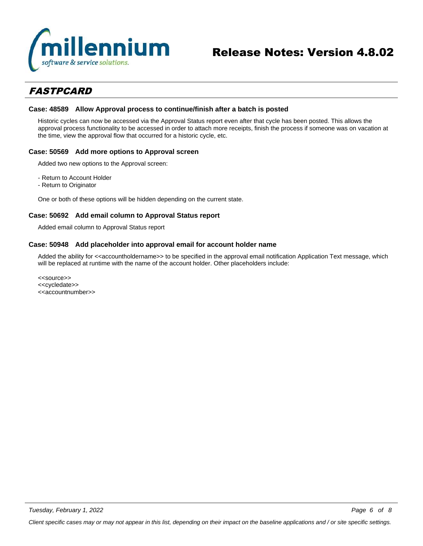

# *FASTPCARD*

#### **Case: 48589 Allow Approval process to continue/finish after a batch is posted**

Historic cycles can now be accessed via the Approval Status report even after that cycle has been posted. This allows the approval process functionality to be accessed in order to attach more receipts, finish the process if someone was on vacation at the time, view the approval flow that occurred for a historic cycle, etc.

#### **Case: 50569 Add more options to Approval screen**

Added two new options to the Approval screen:

- Return to Account Holder
- Return to Originator

One or both of these options will be hidden depending on the current state.

#### **Case: 50692 Add email column to Approval Status report**

Added email column to Approval Status report

#### **Case: 50948 Add placeholder into approval email for account holder name**

Added the ability for <<accountholdername>> to be specified in the approval email notification Application Text message, which will be replaced at runtime with the name of the account holder. Other placeholders include:

<<source>> <<cycledate>> <<accountnumber>>

*Tuesday, February 1, 2022*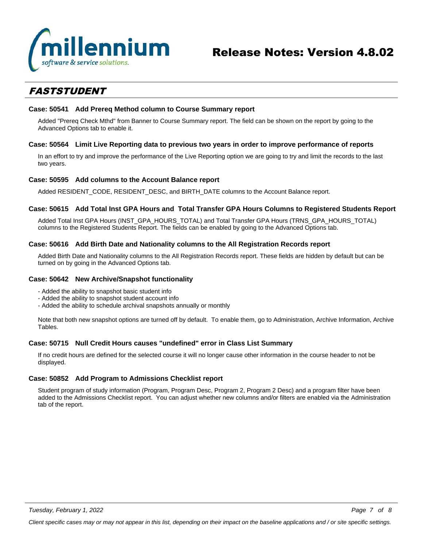

# *FASTSTUDENT*

#### **Case: 50541 Add Prereq Method column to Course Summary report**

Added "Prereq Check Mthd" from Banner to Course Summary report. The field can be shown on the report by going to the Advanced Options tab to enable it.

#### **Case: 50564 Limit Live Reporting data to previous two years in order to improve performance of reports**

In an effort to try and improve the performance of the Live Reporting option we are going to try and limit the records to the last two years.

#### **Case: 50595 Add columns to the Account Balance report**

Added RESIDENT\_CODE, RESIDENT\_DESC, and BIRTH\_DATE columns to the Account Balance report.

#### **Case: 50615 Add Total Inst GPA Hours and Total Transfer GPA Hours Columns to Registered Students Report**

Added Total Inst GPA Hours (INST\_GPA\_HOURS\_TOTAL) and Total Transfer GPA Hours (TRNS\_GPA\_HOURS\_TOTAL) columns to the Registered Students Report. The fields can be enabled by going to the Advanced Options tab.

#### **Case: 50616 Add Birth Date and Nationality columns to the All Registration Records report**

Added Birth Date and Nationality columns to the All Registration Records report. These fields are hidden by default but can be turned on by going in the Advanced Options tab.

#### **Case: 50642 New Archive/Snapshot functionality**

- Added the ability to snapshot basic student info
- Added the ability to snapshot student account info
- Added the ability to schedule archival snapshots annually or monthly

Note that both new snapshot options are turned off by default. To enable them, go to Administration, Archive Information, Archive Tables.

### **Case: 50715 Null Credit Hours causes "undefined" error in Class List Summary**

If no credit hours are defined for the selected course it will no longer cause other information in the course header to not be displayed.

### **Case: 50852 Add Program to Admissions Checklist report**

Student program of study information (Program, Program Desc, Program 2, Program 2 Desc) and a program filter have been added to the Admissions Checklist report. You can adjust whether new columns and/or filters are enabled via the Administration tab of the report.